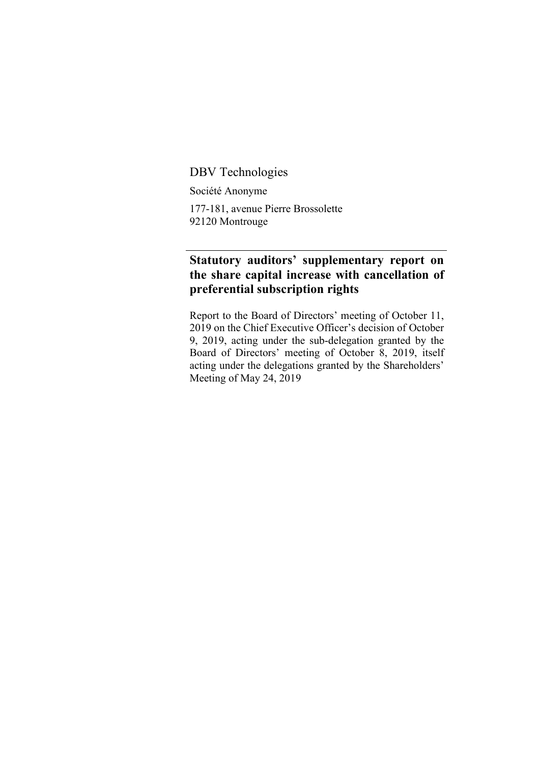DBV Technologies

Société Anonyme

177-181, avenue Pierre Brossolette 92120 Montrouge

## **Statutory auditors' supplementary report on the share capital increase with cancellation of preferential subscription rights**

Report to the Board of Directors' meeting of October 11, 2019 on the Chief Executive Officer's decision of October 9, 2019, acting under the sub-delegation granted by the Board of Directors' meeting of October 8, 2019, itself acting under the delegations granted by the Shareholders' Meeting of May 24, 2019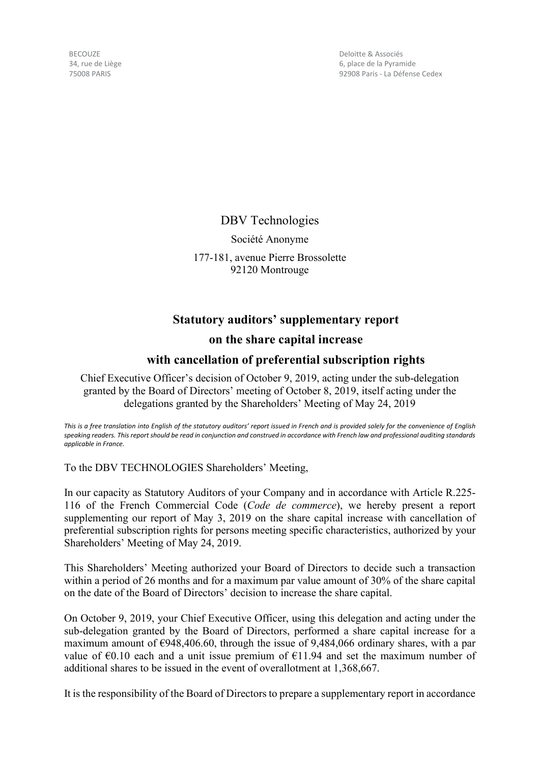BECOUZE 34, rue de Liège 75008 PARIS

Deloitte & Associés 6, place de la Pyramide 92908 Paris - La Défense Cedex

DBV Technologies Société Anonyme 177-181, avenue Pierre Brossolette 92120 Montrouge

## **Statutory auditors' supplementary report**

## **on the share capital increase**

## **with cancellation of preferential subscription rights**

Chief Executive Officer's decision of October 9, 2019, acting under the sub-delegation granted by the Board of Directors' meeting of October 8, 2019, itself acting under the delegations granted by the Shareholders' Meeting of May 24, 2019

*This is a free translation into English of the statutory auditors' report issued in French and is provided solely for the convenience of English speaking readers. This report should be read in conjunction and construed in accordance with French law and professional auditing standards applicable in France.*

To the DBV TECHNOLOGIES Shareholders' Meeting,

In our capacity as Statutory Auditors of your Company and in accordance with Article R.225- 116 of the French Commercial Code (*Code de commerce*), we hereby present a report supplementing our report of May 3, 2019 on the share capital increase with cancellation of preferential subscription rights for persons meeting specific characteristics, authorized by your Shareholders' Meeting of May 24, 2019.

This Shareholders' Meeting authorized your Board of Directors to decide such a transaction within a period of 26 months and for a maximum par value amount of 30% of the share capital on the date of the Board of Directors' decision to increase the share capital.

On October 9, 2019, your Chief Executive Officer, using this delegation and acting under the sub-delegation granted by the Board of Directors, performed a share capital increase for a maximum amount of €948,406.60, through the issue of 9,484,066 ordinary shares, with a par value of  $\epsilon$ 0.10 each and a unit issue premium of  $\epsilon$ 11.94 and set the maximum number of additional shares to be issued in the event of overallotment at 1,368,667.

It is the responsibility of the Board of Directors to prepare a supplementary report in accordance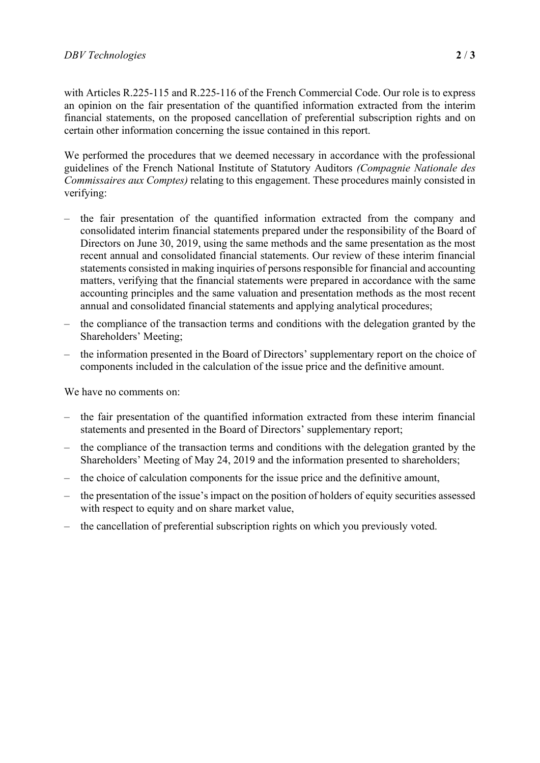with Articles R.225-115 and R.225-116 of the French Commercial Code. Our role is to express an opinion on the fair presentation of the quantified information extracted from the interim financial statements, on the proposed cancellation of preferential subscription rights and on certain other information concerning the issue contained in this report.

We performed the procedures that we deemed necessary in accordance with the professional guidelines of the French National Institute of Statutory Auditors *(Compagnie Nationale des Commissaires aux Comptes)* relating to this engagement. These procedures mainly consisted in verifying:

- the fair presentation of the quantified information extracted from the company and consolidated interim financial statements prepared under the responsibility of the Board of Directors on June 30, 2019, using the same methods and the same presentation as the most recent annual and consolidated financial statements. Our review of these interim financial statements consisted in making inquiries of persons responsible for financial and accounting matters, verifying that the financial statements were prepared in accordance with the same accounting principles and the same valuation and presentation methods as the most recent annual and consolidated financial statements and applying analytical procedures;
- the compliance of the transaction terms and conditions with the delegation granted by the Shareholders' Meeting;
- the information presented in the Board of Directors' supplementary report on the choice of components included in the calculation of the issue price and the definitive amount.

We have no comments on:

- the fair presentation of the quantified information extracted from these interim financial statements and presented in the Board of Directors' supplementary report;
- the compliance of the transaction terms and conditions with the delegation granted by the Shareholders' Meeting of May 24, 2019 and the information presented to shareholders;
- the choice of calculation components for the issue price and the definitive amount,
- the presentation of the issue's impact on the position of holders of equity securities assessed with respect to equity and on share market value,
- the cancellation of preferential subscription rights on which you previously voted.